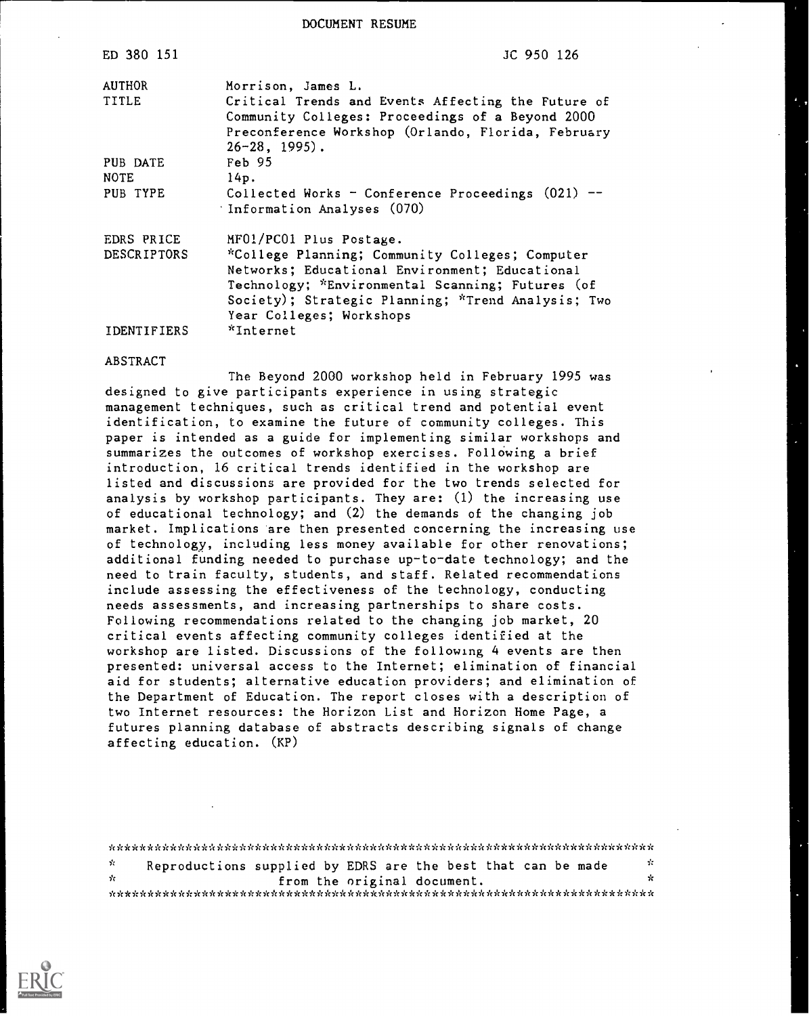DOCUMENT RESUME

| ED 380 151         | JC 950 126                                                                                                                                                                                                                              |
|--------------------|-----------------------------------------------------------------------------------------------------------------------------------------------------------------------------------------------------------------------------------------|
| AUTHOR             | Morrison, James L.                                                                                                                                                                                                                      |
| <b>TITLE</b>       | Critical Trends and Events Affecting the Future of<br>Community Colleges: Proceedings of a Beyond 2000<br>Preconference Workshop (Orlando, Florida, February<br>$26 - 28$ , 1995).                                                      |
| PUB DATE           | Feb 95                                                                                                                                                                                                                                  |
| <b>NOTE</b>        | 14p.                                                                                                                                                                                                                                    |
| PUB TYPE           | Collected Works - Conference Proceedings $(021)$ --<br>Information Analyses (070)                                                                                                                                                       |
| EDRS PRICE         | MF01/PC01 Plus Postage.                                                                                                                                                                                                                 |
| <b>DESCRIPTORS</b> | *College Planning; Community Colleges; Computer<br>Networks; Educational Environment; Educational<br>Technology; *Environmental Scanning; Futures (of<br>Society); Strategic Planning; *Trend Analysis; Two<br>Year Colleges; Workshops |
| IDENTIFIERS        | *Internet                                                                                                                                                                                                                               |

#### ABSTRACT

The Beyond 2000 workshop held in February 1995 was designed to give participants experience in using strategic management techniques, such as critical trend and potential event identification, to examine the future of community colleges. This paper is intended as a guide for implementing similar workshops and summarizes the outcomes of workshop exercises. Following a brief introduction, 16 critical trends identified in the workshop are listed and discussions are provided for the two trends selected for analysis by workshop participants. They are: (1) the increasing use of educational technology; and (2) the demands of the changing job market. Implications are then presented concerning the increasing use of technology, including less money available for other renovations; additional funding needed to purchase up-to-date technology; and the need to train faculty, students, and staff. Related recommendations include assessing the effectiveness of the technology, conducting needs assessments, and increasing partnerships to share costs. Following recommendations related to the changing job market, 20 critical events affecting community colleges identified at the workshop are listed. Discussions of the following 4 events are then presented: universal access to the Internet; elimination of financial aid for students; alternative education providers; and elimination of the Department of Education. The report closes with a description of two Internet resources: the Horizon List and Horizon Home Page, a futures planning database of abstracts describing signals of change affecting education. (KP)

| У.  | Reproductions supplied by EDRS are the best that can be made |  |  |                             |  |  | - 22 |  |
|-----|--------------------------------------------------------------|--|--|-----------------------------|--|--|------|--|
| de. |                                                              |  |  | from the original document. |  |  | ÷    |  |
|     |                                                              |  |  |                             |  |  |      |  |

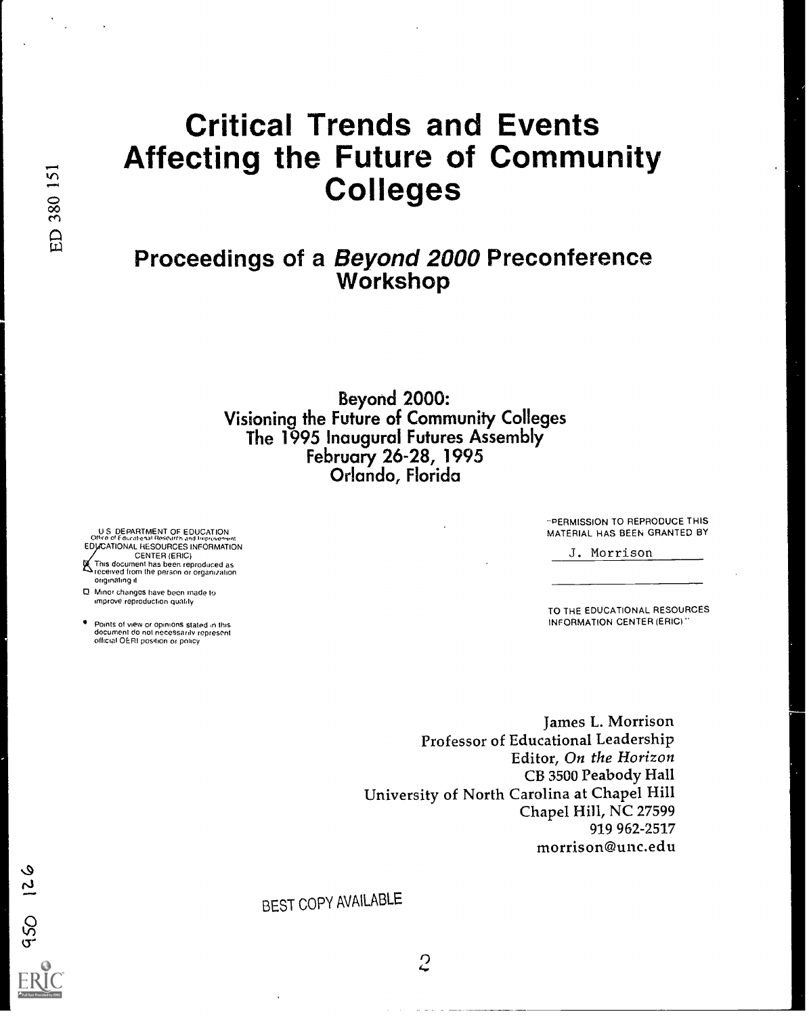# Critical Trends and Events Affecting the Future of Community<br>  $\frac{1}{8}$  Colleges<br>  $\frac{1}{8}$

# Proceedings of a Beyond 2000 Preconference Workshop

Beyond 2000: Visioning the Future of Community Colleges The 1995 Inaugural Futures Assembly February 26-28, 1995 Orlando, Florida

U S DEPARTMENT OF EDUCATION<br>Office of Educational Resource and Improvement<br>EDUCATIONAL RESOURCES INFORMATION CENTER (ERIC) This document has been reproduced as received from the person or organipation originating it

- 0 Minor changes have been made to
- improve reproduction quality
- Points of view or opinions stated in this document do not necessarily represent official OERI position or policy

PERMISSION TO REPRODUCE THIS MATERIAL HAS BEEN GRANTED BY

J. Morrison

TO THE EDUCATIONAL RESOURCES INFORMATION CENTER (ERIC)

James L. Morrison Professor of Educational Leadership Editor, On the Horizon CB 3500 Peabody Hall University of North Carolina at Chapel Hill Chapel Hill, NC 27599 919 962-2517 morrison@unc.edu

BEST COPY AVAILABLE

921 0Sb

 $\overline{c}$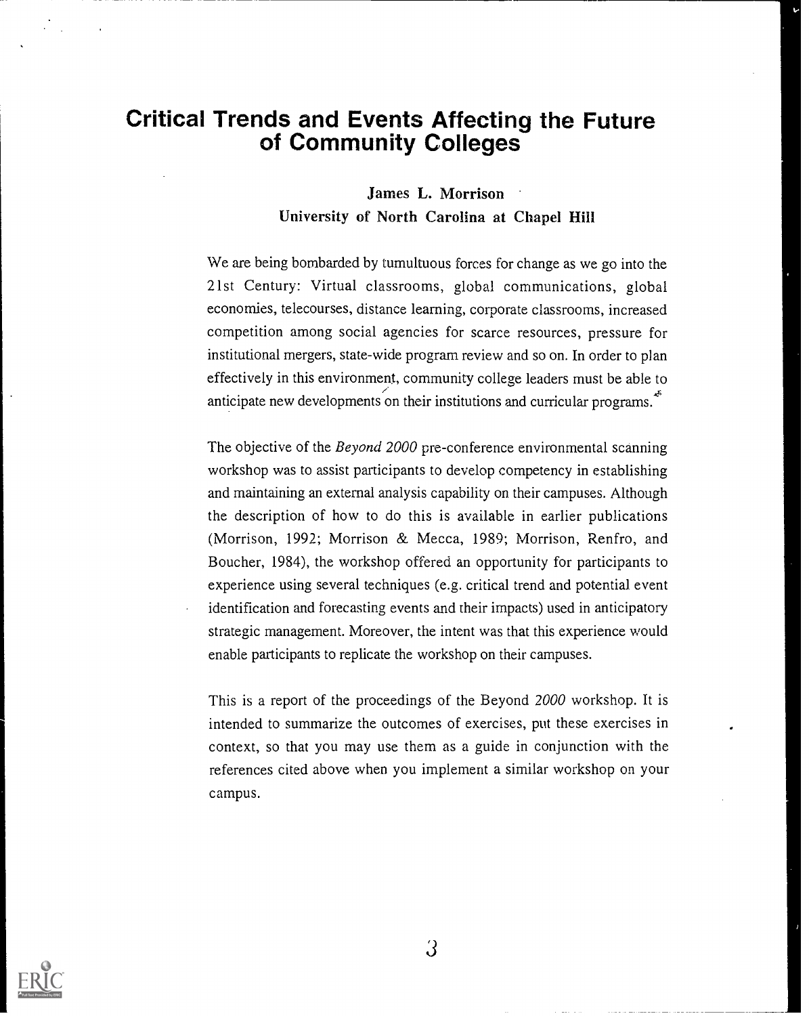# Critical Trends and Events Affecting the Future of Community Colleges

#### James L. Morrison University of North Carolina at Chapel Hill

We are being bombarded by tumultuous forces for change as we go into the 21st Century: Virtual classrooms, global communications, global economies, telecourses, distance learning, corporate classrooms, increased competition among social agencies for scarce resources, pressure for institutional mergers, state-wide program review and so on. In order to plan effectively in this environment, community college leaders must be able to anticipate new developments on their institutions and curricular programs.<sup>\*</sup>

The objective of the *Beyond 2000* pre-conference environmental scanning workshop was to assist participants to develop competency in establishing and maintaining an external analysis capability on their campuses. Although the description of how to do this is available in earlier publications (Morrison, 1992; Morrison & Mecca, 1989; Morrison, Renfro, and Boucher, 1984), the workshop offered an opportunity for participants to experience using several techniques (e.g. critical trend and potential event identification and forecasting events and their impacts) used in anticipatory strategic management. Moreover, the intent was that this experience would enable participants to replicate the workshop on their campuses.

This is a report of the proceedings of the Beyond 2000 workshop. It is intended to summarize the outcomes of exercises, put these exercises in context, so that you may use them as a guide in conjunction with the references cited above when you implement a similar workshop on your campus.

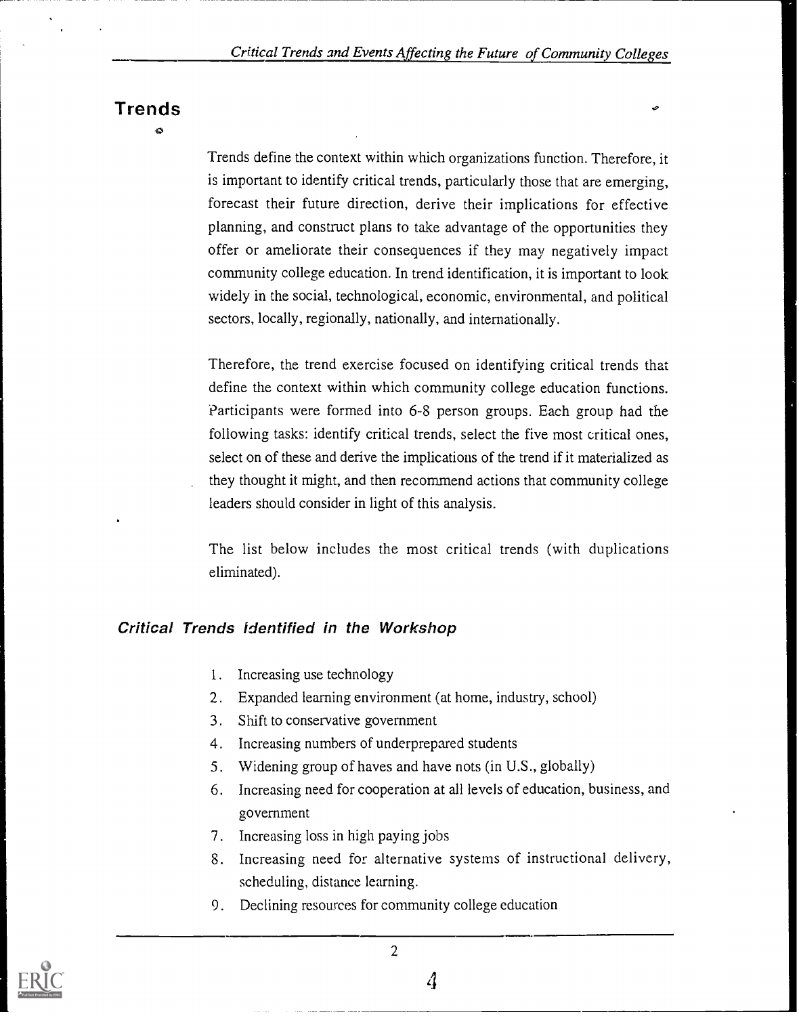# Trends

 $\sim$ 

Trends define the context within which organizations function. Therefore, it is important to identify critical trends, particularly those that are emerging, forecast their future direction, derive their implications for effective planning, and construct plans to take advantage of the opportunities they offer or ameliorate their consequences if they may negatively impact community college education. In trend identification, it is important to look widely in the social, technological, economic, environmental, and political sectors, locally, regionally, nationally, and internationally.

Therefore, the trend exercise focused on identifying critical trends that define the context within which community college education functions. Participants were formed into 6-8 person groups. Each group had the following tasks: identify critical trends, select the five most critical ones, select on of these and derive the implications of the trend if it materialized as they thought it might, and then recommend actions that community college leaders should consider in light of this analysis.

The list below includes the most critical trends (with duplications eliminated).

#### Critical Trends identified in the Workshop

- I. Increasing use technology
- 2. Expanded learning environment (at home, industry, school)
- 3. Shift to conservative government
- 4. Increasing numbers of underprepared students
- 5. Widening group of haves and have nots (in U.S., globally)
- 6. Increasing need for cooperation at all levels of education, business, and government
- 7. Increasing loss in high paying jobs
- 8. Increasing need for alternative systems of instructional delivery, scheduling, distance learning.
- 9. Declining resources for community college education

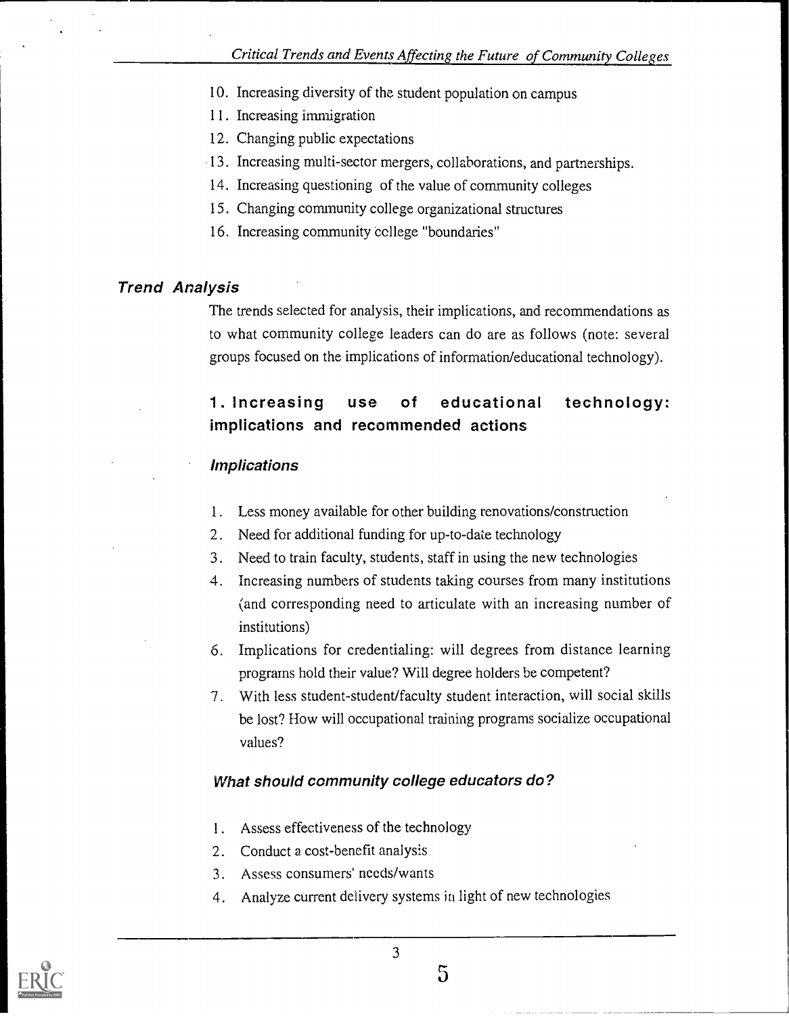- 10. Increasing diversity of the student population on campus
- 11. Increasing immigration
- 12. Changing public expectations
- 13. Increasing multi-sector mergers, collaborations, and partnerships.
- 14. Increasing questioning of the value of community colleges
- 15. Changing community college organizational structures
- 16. Increasing community college "boundaries"

# Trend Analysis

The trends selected for analysis, their implications, and recommendations as to what community college leaders can do are as follows (note: several groups focused on the implications of information/educational technology).

# 1. Increasing use of educational technology: implications and recommended actions

### Implications

- 1. Less money available for other building renovations/construction
- 2. Need for additional funding for up-to-date technology
- 3. Need to train faculty, students, staff in using the new technologies
- 4. Increasing numbers of students taking courses from many institutions (and corresponding need to articulate with an increasing number of institutions)
- 6. Implications for credentialing: will degrees from distance learning programs hold their value? Will degree holders be competent?
- 7. With less student-student/faculty student interaction, will social skills be lost? How will occupational training programs socialize occupational values?

# What should community college educators do?

- 1. Assess effectiveness of the technology
- 2. Conduct a cost-benefit analysis
- 3. Assess consumers' needs/wants
- 4. Analyze current delivery systems in light of new technologies



5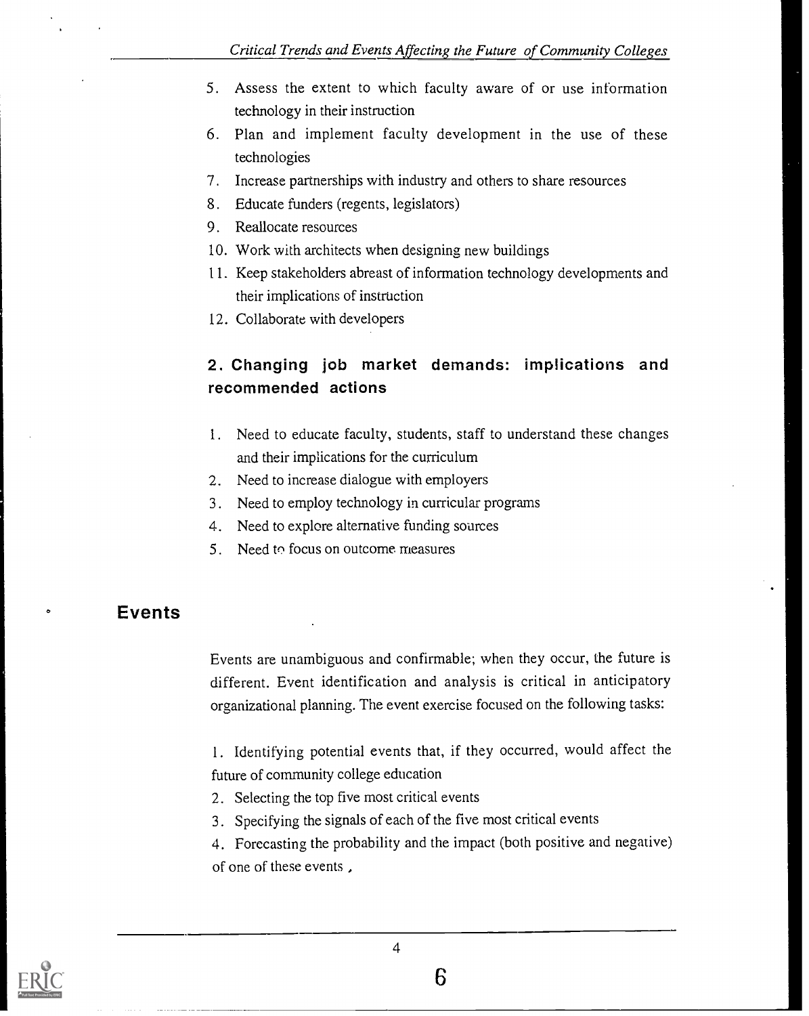- 5. Assess the extent to which faculty aware of or use information technology in their instruction
- 6. Plan and implement faculty development in the use of these technologies
- 7. Increase partnerships with industry and others to share resources
- 8. Educate funders (regents, legislators)
- 9. Reallocate resources
- 10. Work with architects when designing new buildings
- 11. Keep stakeholders abreast of information technology developments and their implications of instruction
- 12. Collaborate with developers

# 2. Changing job market demands: implications and recommended actions

- 1. Need to educate faculty, students, staff to understand these changes and their implications for the curriculum
- 2. Need to increase dialogue with employers
- 3. Need to employ technology in curricular programs
- 4. Need to explore alternative funding soarces
- 5. Need to focus on outcome measures

# Events

Events are unambiguous and confirmable; when they occur, the future is different. Event identification and analysis is critical in anticipatory organizational planning. The event exercise focused on the following tasks:

1. Identifying potential events that, if they occurred, would affect the future of community college education

- 2. Selecting the top five most critical events
- 3. Specifying the signals of each of the five most critical events

4. Forecasting the probability and the impact (both positive and negative) of one of these events ,

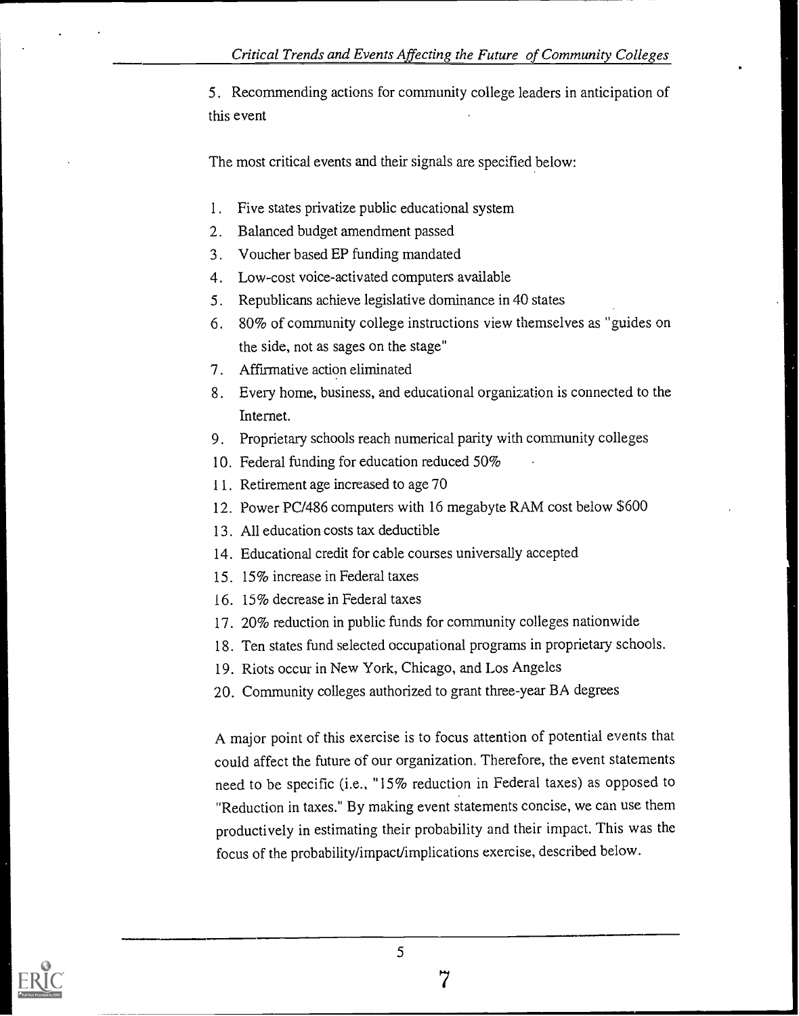5. Recommending actions for community college leaders in anticipation of this event

The most critical events and their signals are specified below:

- 1. Five states privatize public educational system
- 2. Balanced budget amendment passed
- 3. Voucher based EP funding mandated
- 4. Low-cost voice-activated computers available
- 5. Republicans achieve legislative dominance in 40 states
- 6. 80% of community college instructions view themselves as "guides on the side, not as sages on the stage"
- 7. Affirmative action eliminated
- 8. Every home, business, and educational organization is connected to the Internet.
- 9. Proprietary schools reach numerical parity with community colleges
- 10. Federal funding for education reduced 50%
- 11. Retirement age increased to age 70
- 12. Power PC/486 computers with 16 megabyte RAM cost below \$600
- 13. All education costs tax deductible
- 14. Educational credit for cable courses universally accepted
- 15. 15% increase in Federal taxes
- 16. 15% decrease in Federal taxes
- 17. 20% reduction in public funds for community colleges nationwide
- 18. Ten states fund selected occupational programs in proprietary schools.
- 19. Riots occur in New York, Chicago, and Los Angeles
- 20. Community colleges authorized to grant three-year BA degrees

A major point of this exercise is to focus attention of potential events that could affect the future of our organization. Therefore, the event statements need to be specific (i.e., "15% reduction in Federal taxes) as opposed to "Reduction in taxes." By making event statements concise, we can use them productively in estimating their probability and their impact. This was the focus of the probability/impact/implications exercise, described below.

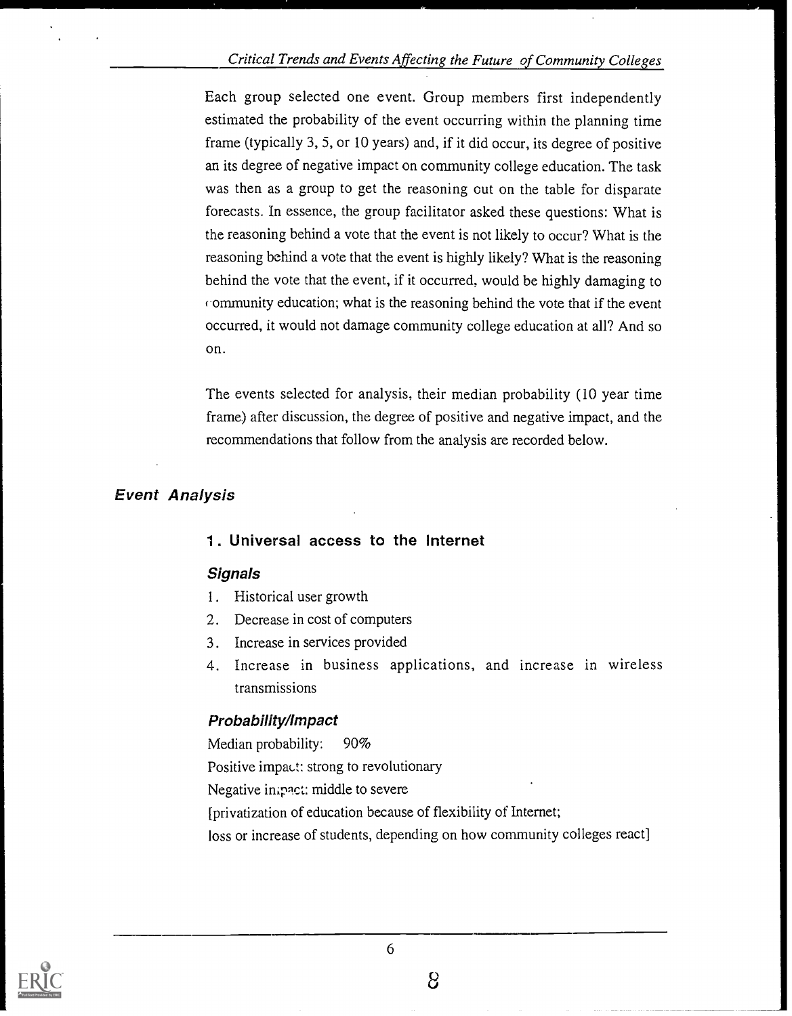#### Critical Trends and Events Affecting the Future of Community Colleges

Each group selected one event. Group members first independently estimated the probability of the event occurring within the planning time frame (typically 3, 5, or 10 years) and, if it did occur, its degree of positive an its degree of negative impact on community college education. The task was then as a group to get the reasoning out on the table for disparate forecasts. In essence, the group facilitator asked these questions: What is the reasoning behind a vote that the event is not likely to occur? What is the reasoning behind a vote that the event is highly likely? What is the reasoning behind the vote that the event, if it occurred, would be highly damaging to ommunity education; what is the reasoning behind the vote that if the event occurred, it would not damage community college education at all? And so on.

The events selected for analysis, their median probability (10 year time frame) after discussion, the degree of positive and negative impact, and the recommendations that follow from the analysis are recorded below.

#### Event Analysis

#### 1. Universal access to the Internet

#### **Signals**

- 1. Historical user growth
- 2. Decrease in cost of computers
- 3. Increase in services provided
- 4. Increase in business applications, and increase in wireless transmissions

#### Probability/Impact

Median probability: 90% Positive impact: strong to revolutionary Negative inipnt: middle to severe [privatization of education because of flexibility of Internet; loss or increase of students, depending on how community colleges react]



a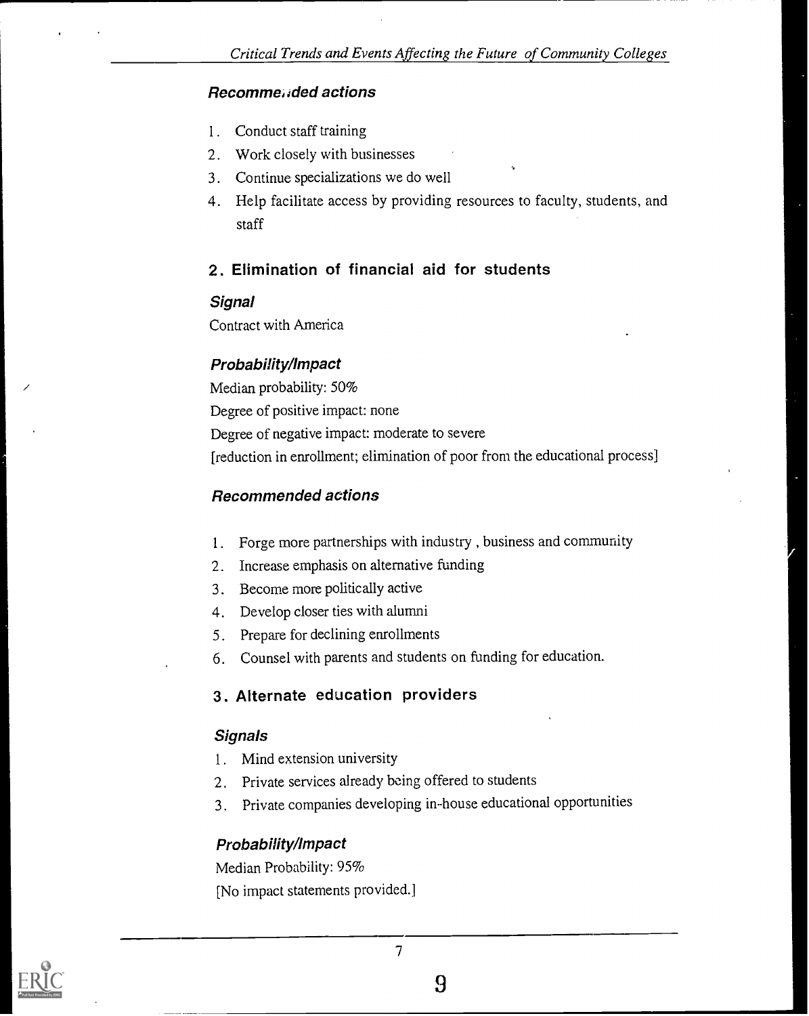#### Recomme,,ded actions

- 1. Conduct staff training
- 2. Work closely with businesses
- 3. Continue specializations we do well
- 4. Help facilitate access by providing resources to faculty, students, and staff

#### 2. Elimination of financial aid for students

#### **Signal**

Contract with America

#### Probability/Impact

Median probability: 50% Degree of positive impact: none Degree of negative impact: moderate to severe [reduction in enrollment; elimination of poor from the educational process]

#### Recommended actions

- 1. Forge more partnerships with industry , business and community
- 2. Increase emphasis on alternative funding
- 3. Become more politically active
- 4. Develop closer ties with alumni
- 5. Prepare for declining enrollments
- 6. Counsel with parents and students on funding for education.

#### 3. Alternate education providers

#### **Signals**

- 1. Mind extension university
- 2. Private services already being offered to students
- 3. Private companies developing in-house educational opportunities

#### Probability/Impact

Median Probability: 95% [No impact statements provided.]



9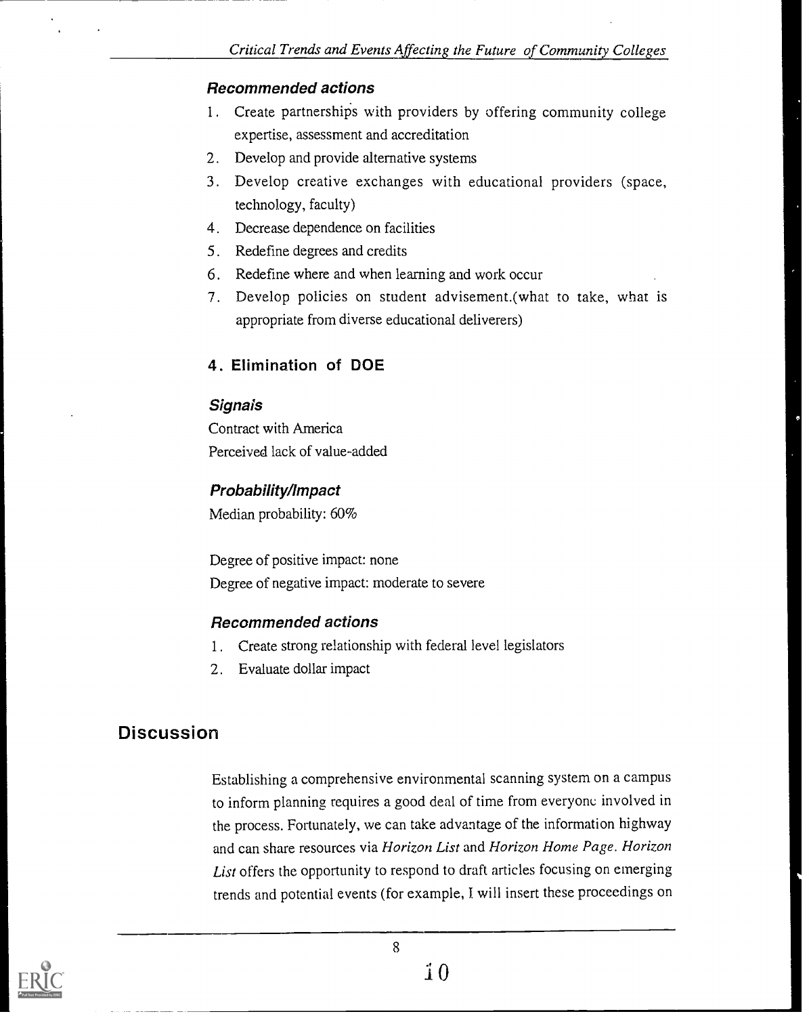#### Recommended actions

- 1. Create partnerships with providers by offering community college expertise, assessment and accreditation
- 2. Develop and provide alternative systems
- 3. Develop creative exchanges with educational providers (space, technology, faculty)
- 4. Decrease dependence on facilities
- 5. Redefine degrees and credits
- 6. Redefine where and when learning and work occur
- 7. Develop policies on student advisement.(what to take, what is appropriate from diverse educational deliverers)

#### 4. Elimination of DOE

#### **Signais**

Contract with America Perceived lack of value-added

#### Probability/impact

Median probability: 60%

Degree of positive impact: none Degree of negative impact: moderate to severe

#### Recommended actions

- 1. Create strong relationship with federal level legislators
- 2. Evaluate dollar impact

# **Discussion**

Establishing a comprehensive environmental scanning system on a campus to inform planning requires a good deal of time from everyone involved in the process. Fortunately, we can take advantage of the information highway and can share resources via Horizon List and Horizon Home Page. Horizon List offers the opportunity to respond to draft articles focusing on emerging trends and potential events (for example, I will insert these proceedings on



8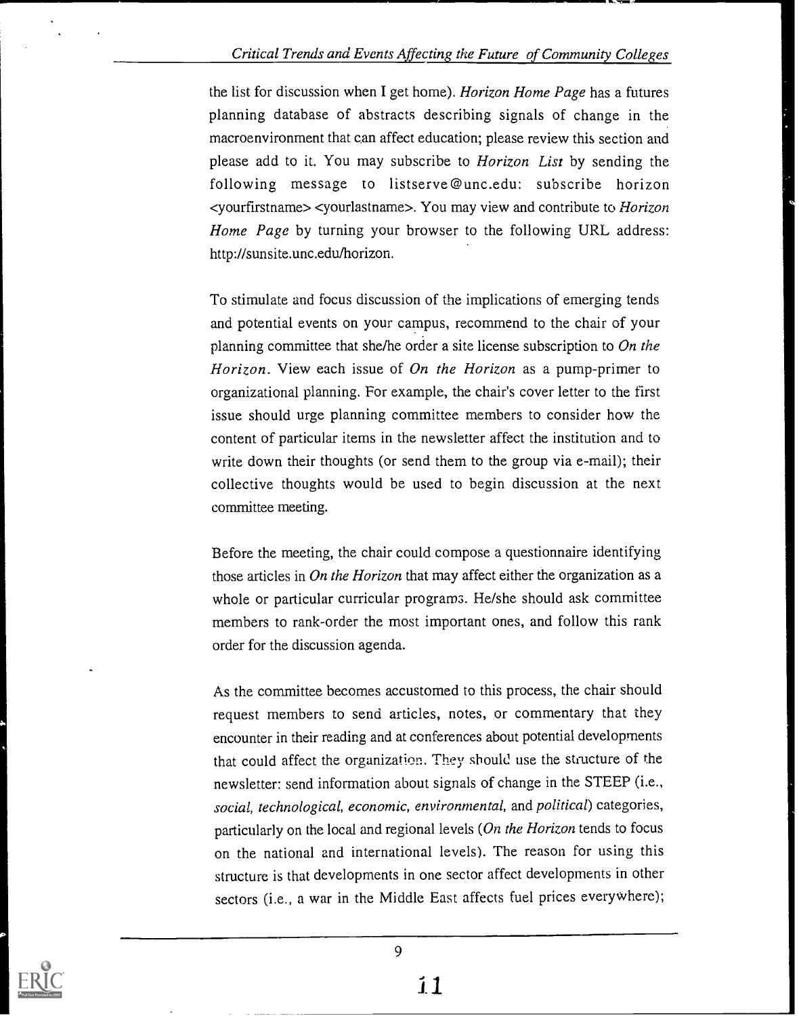#### Critical Trends and Events Affecting the Future of Community Colleges

the list for discussion when I get home). Horizon Home Page has a futures planning database of abstracts describing signals of change in the macroenvironment that can affect education; please review this section and please add to it. You may subscribe to Horizon List by sending the following message to listserve@unc.edu: subscribe horizon <yourfirstname> <yourlastname>. You may view and contribute to Horizon Home Page by turning your browser to the following URL address: http://sunsite.unc.edu/horizon.

To stimulate and focus discussion of the implications of emerging tends and potential events on your campus, recommend to the chair of your planning committee that she/he order a site license subscription to  $On$  the Horizon. View each issue of On the Horizon as a pump-primer to organizational planning. For example, the chair's cover letter to the first issue should urge planning committee members to consider how the content of particular items in the newsletter affect the institution and to write down their thoughts (or send them to the group via e-mail); their collective thoughts would be used to begin discussion at the next committee meeting.

Before the meeting, the chair could compose a questionnaire identifying those articles in On the Horizon that may affect either the organization as a whole or particular curricular programs. He/she should ask committee members to rank-order the most important ones, and follow this rank order for the discussion agenda.

As the committee becomes accustomed to this process, the chair should request members to send articles, notes, or commentary that they encounter in their reading and at conferences about potential developments that could affect the organization. They should use the structure of the newsletter: send information about signals of change in the STEEP (i.e., social, technological, economic, environmental, and political) categories, particularly on the local and regional levels (On the Horizon tends to focus on the national and international levels). The reason for using this structure is that developments in one sector affect developments in other sectors (i.e., a war in the Middle East affects fuel prices everywhere);

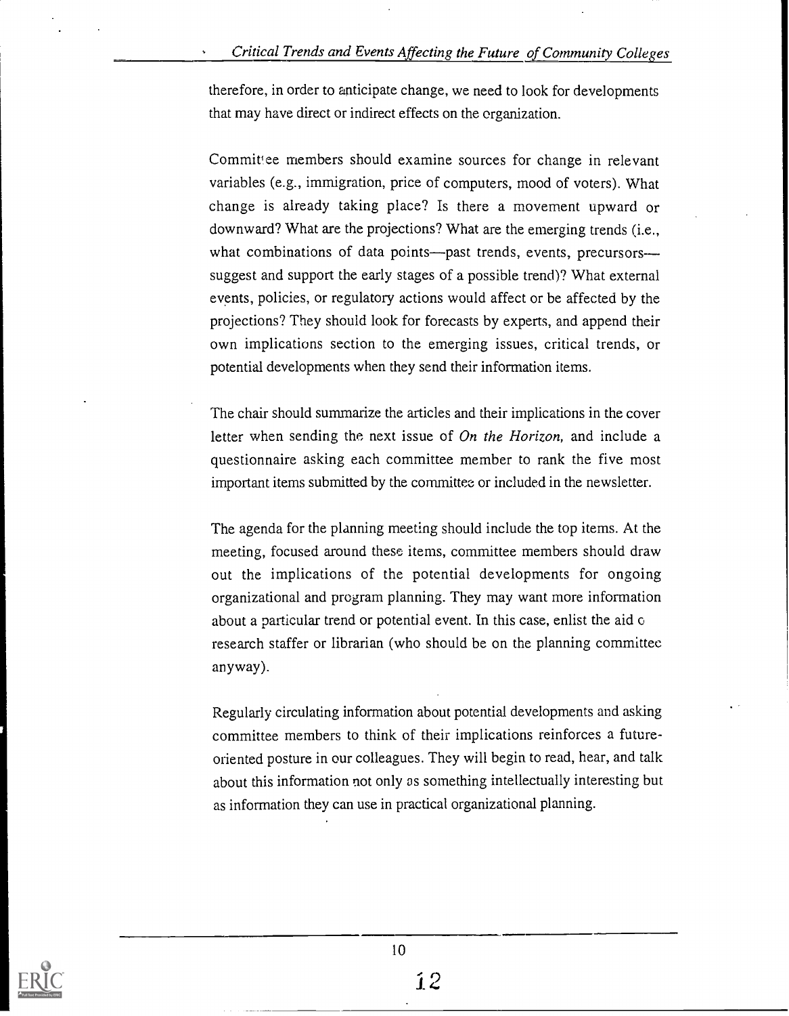therefore, in order to anticipate change, we need to look for developments that may have direct or indirect effects on the organization.

Committee members should examine sources for change in relevant variables (e.g., immigration, price of computers, mood of voters). What change is already taking place? Is there a movement upward or downward? What are the projections? What are the emerging trends (i.e., what combinations of data points—past trends, events, precursors suggest and support the early stages of a possible trend)? What external events, policies, or regulatory actions would affect or be affected by the projections? They should look for forecasts by experts, and append their own implications section to the emerging issues, critical trends, or potential developments when they send their information items.

The chair should summarize the articles and their implications in the cover letter when sending the next issue of On the Horizon, and include a questionnaire asking each committee member to rank the five most important items submitted by the committee or included in the newsletter.

The agenda for the planning meeting should include the top items. At the meeting, focused around these items, committee members should draw out the implications of the potential developments for ongoing organizational and program planning. They may want more information about a particular trend or potential event. In this case, enlist the aid o research staffer or librarian (who should be on the planning committee anyway).

Regularly circulating information about potential developments and asking committee members to think of their implications reinforces a futureoriented posture in our colleagues. They will begin to read, hear, and talk about this information not only as something intellectually interesting but as information they can use in practical organizational planning.

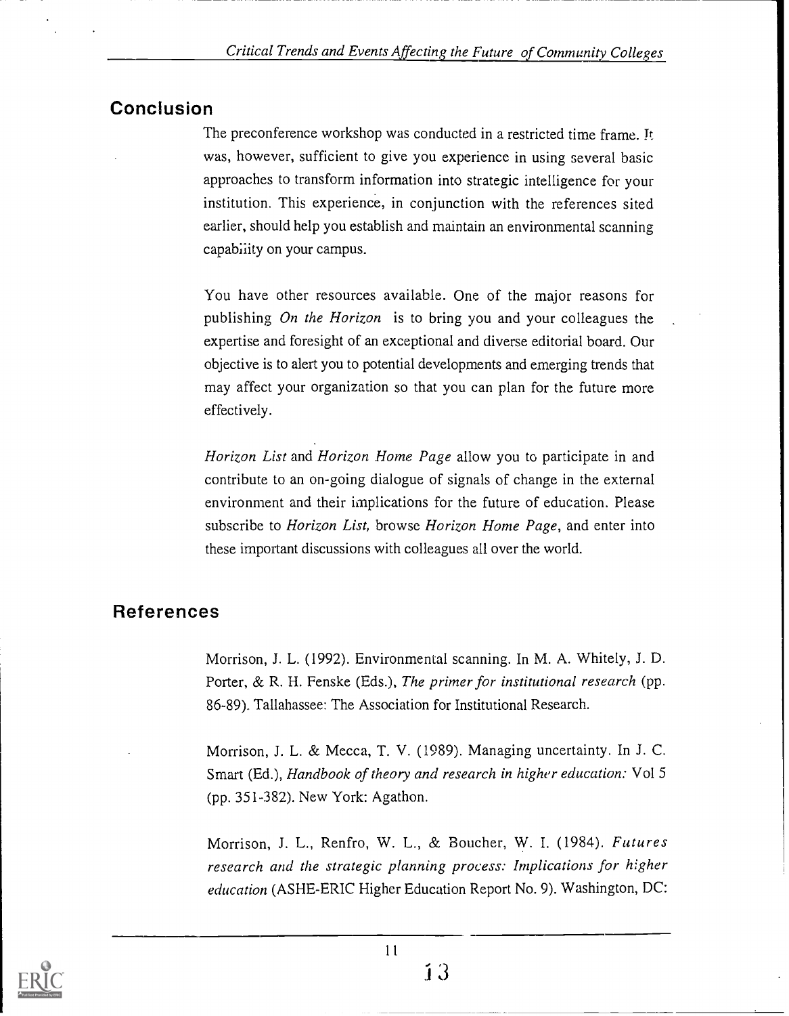# **Conclusion**

The preconference workshop was conducted in a restricted time frame. It was, however, sufficient to give you experience in using several basic approaches to transform information into strategic intelligence for your institution. This experience, in conjunction with the references sited earlier, should help you establish and maintain an environmental scanning capabiiity on your campus.

You have other resources available. One of the major reasons for publishing On the Horizon is to bring you and your colleagues the expertise and foresight of an exceptional and diverse editorial board. Our objective is to alert you to potential developments and emerging trends that may affect your organization so that you can plan for the future more effectively.

Horizon List and Horizon Home Page allow you to participate in and contribute to an on-going dialogue of signals of change in the external environment and their implications for the future of education. Please subscribe to Horizon List, browse Horizon Home Page, and enter into these important discussions with colleagues all over the world.

# References

Morrison, J. L. (1992). Environmental scanning. In M. A. Whitely, J. D. Porter, & R. H. Fenske (Eds.), The primer for institutional research (pp. 86-89). Tallahassee: The Association for Institutional Research.

Morrison, J. L. & Mecca, T. V. (1989). Managing uncertainty. In J. C. Smart (Ed.), Handbook of theory and research in higher education: Vol 5 (pp. 351-382). New York: Agathon.

Morrison, J. L., Renfro, W. L., & Boucher, W. I. (1984). Futures research and the strategic planning process: Implications for higher education (ASHE-ERIC Higher Education Report No. 9). Washington, DC: